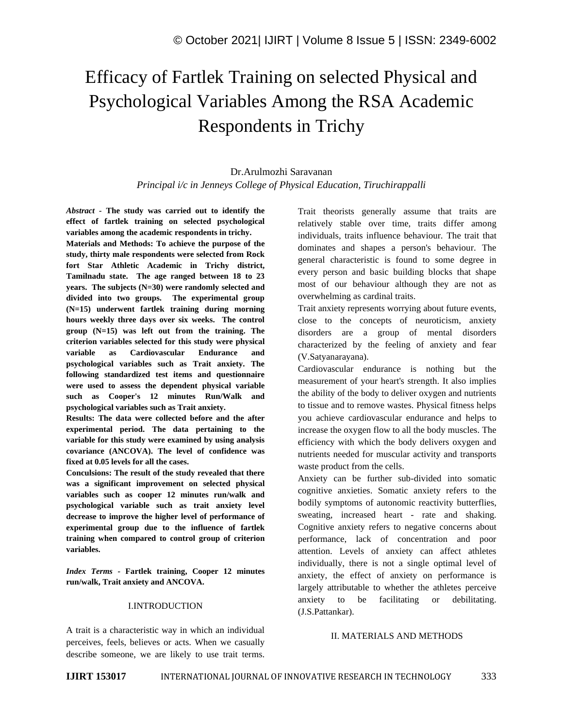# Efficacy of Fartlek Training on selected Physical and Psychological Variables Among the RSA Academic Respondents in Trichy

## Dr.Arulmozhi Saravanan *Principal i/c in Jenneys College of Physical Education, Tiruchirappalli*

*Abstract -* **The study was carried out to identify the effect of fartlek training on selected psychological variables among the academic respondents in trichy.** 

**Materials and Methods: To achieve the purpose of the study, thirty male respondents were selected from Rock fort Star Athletic Academic in Trichy district, Tamilnadu state. The age ranged between 18 to 23 years. The subjects (N=30) were randomly selected and divided into two groups. The experimental group (N=15) underwent fartlek training during morning hours weekly three days over six weeks. The control group (N=15) was left out from the training. The criterion variables selected for this study were physical variable as Cardiovascular Endurance and psychological variables such as Trait anxiety. The following standardized test items and questionnaire were used to assess the dependent physical variable such as Cooper's 12 minutes Run/Walk and psychological variables such as Trait anxiety.** 

**Results: The data were collected before and the after experimental period. The data pertaining to the variable for this study were examined by using analysis covariance (ANCOVA). The level of confidence was fixed at 0.05 levels for all the cases.** 

**Conculsions: The result of the study revealed that there was a significant improvement on selected physical variables such as cooper 12 minutes run/walk and psychological variable such as trait anxiety level decrease to improve the higher level of performance of experimental group due to the influence of fartlek training when compared to control group of criterion variables.**

*Index Terms -* **Fartlek training, Cooper 12 minutes run/walk, Trait anxiety and ANCOVA.** 

#### I.INTRODUCTION

A trait is a characteristic way in which an individual perceives, feels, believes or acts. When we casually describe someone, we are likely to use trait terms. Trait theorists generally assume that traits are relatively stable over time, traits differ among individuals, traits influence behaviour. The trait that dominates and shapes a person's behaviour. The general characteristic is found to some degree in every person and basic building blocks that shape most of our behaviour although they are not as overwhelming as cardinal traits.

Trait anxiety represents worrying about future events, close to the concepts of neuroticism, anxiety disorders are a group of mental disorders characterized by the feeling of anxiety and fear (V.Satyanarayana).

Cardiovascular endurance is nothing but the measurement of your heart's strength. It also implies the ability of the body to deliver oxygen and nutrients to tissue and to remove wastes. Physical fitness helps you achieve cardiovascular endurance and helps to increase the oxygen flow to all the body muscles. The efficiency with which the body delivers oxygen and nutrients needed for muscular activity and transports waste product from the cells.

Anxiety can be further sub-divided into somatic cognitive anxieties. Somatic anxiety refers to the bodily symptoms of autonomic reactivity butterflies, sweating, increased heart - rate and shaking. Cognitive anxiety refers to negative concerns about performance, lack of concentration and poor attention. Levels of anxiety can affect athletes individually, there is not a single optimal level of anxiety, the effect of anxiety on performance is largely attributable to whether the athletes perceive anxiety to be facilitating or debilitating. (J.S.Pattankar).

#### II. MATERIALS AND METHODS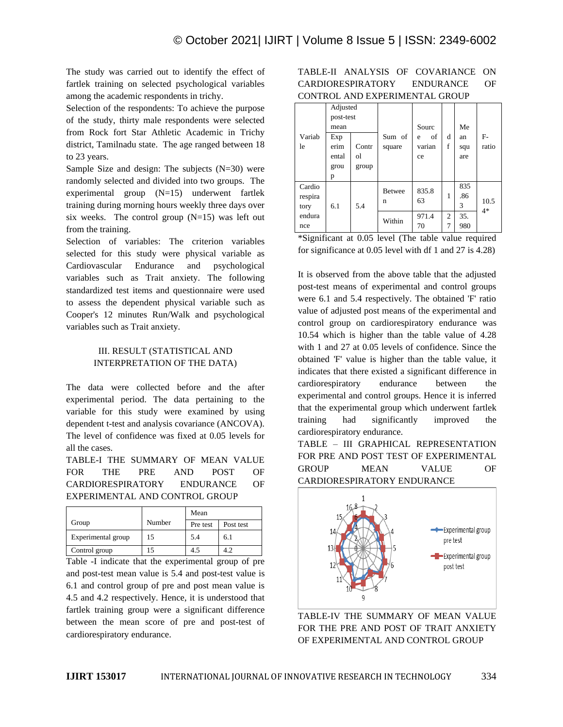The study was carried out to identify the effect of fartlek training on selected psychological variables among the academic respondents in trichy.

Selection of the respondents: To achieve the purpose of the study, thirty male respondents were selected from Rock fort Star Athletic Academic in Trichy district, Tamilnadu state. The age ranged between 18 to 23 years.

Sample Size and design: The subjects  $(N=30)$  were randomly selected and divided into two groups. The experimental group (N=15) underwent fartlek training during morning hours weekly three days over six weeks. The control group  $(N=15)$  was left out from the training.

Selection of variables: The criterion variables selected for this study were physical variable as Cardiovascular Endurance and psychological variables such as Trait anxiety. The following standardized test items and questionnaire were used to assess the dependent physical variable such as Cooper's 12 minutes Run/Walk and psychological variables such as Trait anxiety.

### III. RESULT (STATISTICAL AND INTERPRETATION OF THE DATA)

The data were collected before and the after experimental period. The data pertaining to the variable for this study were examined by using dependent t-test and analysis covariance (ANCOVA). The level of confidence was fixed at 0.05 levels for all the cases.

TABLE-I THE SUMMARY OF MEAN VALUE FOR THE PRE AND POST OF CARDIORESPIRATORY ENDURANCE OF EXPERIMENTAL AND CONTROL GROUP

|                         |        | Mean     |           |  |  |
|-------------------------|--------|----------|-----------|--|--|
| Group                   | Number | Pre test | Post test |  |  |
| Experimental group      | 15     | 5.4      | 6.1       |  |  |
| Control group           | 15     | 4.5      | 4.2       |  |  |
| ___<br>_ _ _<br>$-$<br> |        |          |           |  |  |

Table -I indicate that the experimental group of pre and post-test mean value is 5.4 and post-test value is 6.1 and control group of pre and post mean value is 4.5 and 4.2 respectively. Hence, it is understood that fartlek training group were a significant difference between the mean score of pre and post-test of cardiorespiratory endurance.

## TABLE-II ANALYSIS OF COVARIANCE ON CARDIORESPIRATORY ENDURANCE OF CONTROL AND EXPERIMENTAL GROUP

|         | Adjusted  |       |               |         |                |     |              |
|---------|-----------|-------|---------------|---------|----------------|-----|--------------|
|         | post-test |       |               |         |                |     |              |
|         | mean      |       |               | Sourc   |                | Me  |              |
| Variab  | Exp       |       | Sum of        | of<br>e | d              | an  | $F-$         |
| le      | erim      | Contr | square        | varian  | f              | squ | ratio        |
|         | ental     | οl    |               | ce      |                | are |              |
|         | grou      | group |               |         |                |     |              |
|         | p         |       |               |         |                |     |              |
| Cardio  |           |       | <b>Betwee</b> | 835.8   |                | 835 |              |
| respira |           |       | n             | 63      | 1              | .86 |              |
| tory    | 6.1       | 5.4   |               |         |                | 3   | 10.5<br>$4*$ |
| endura  |           |       | Within        | 971.4   | $\overline{c}$ | 35. |              |
| nce     |           |       |               | 70      | 7              | 980 |              |

\*Significant at 0.05 level (The table value required for significance at 0.05 level with df 1 and 27 is 4.28)

It is observed from the above table that the adjusted post-test means of experimental and control groups were 6.1 and 5.4 respectively. The obtained 'F' ratio value of adjusted post means of the experimental and control group on cardiorespiratory endurance was 10.54 which is higher than the table value of 4.28 with 1 and 27 at 0.05 levels of confidence. Since the obtained 'F' value is higher than the table value, it indicates that there existed a significant difference in cardiorespiratory endurance between the experimental and control groups. Hence it is inferred that the experimental group which underwent fartlek training had significantly improved the cardiorespiratory endurance.

TABLE – III GRAPHICAL REPRESENTATION FOR PRE AND POST TEST OF EXPERIMENTAL GROUP MEAN VALUE OF CARDIORESPIRATORY ENDURANCE



TABLE-IV THE SUMMARY OF MEAN VALUE FOR THE PRE AND POST OF TRAIT ANXIETY OF EXPERIMENTAL AND CONTROL GROUP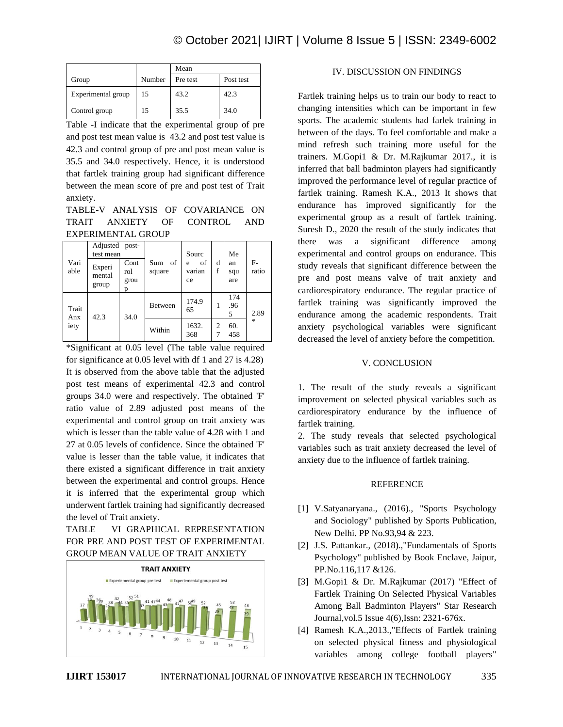|                    |        | Mean     |           |  |
|--------------------|--------|----------|-----------|--|
| Group              | Number | Pre test | Post test |  |
| Experimental group | 15     | 43.2     | 42.3      |  |
| Control group      | 15     | 35.5     | 34.0      |  |

Table -I indicate that the experimental group of pre and post test mean value is 43.2 and post test value is 42.3 and control group of pre and post mean value is 35.5 and 34.0 respectively. Hence, it is understood that fartlek training group had significant difference between the mean score of pre and post test of Trait anxiety.

## TABLE-V ANALYSIS OF COVARIANCE ON TRAIT ANXIETY OF CONTROL AND EXPERIMENTAL GROUP

| Vari<br>Experi<br>able<br>mental<br>group | Adjusted post-<br>test mean |      | of<br>Sum<br>square | Sourc<br>of<br>e<br>varian<br>ce | d<br>f | Me<br>an<br>squ<br>are | F-<br>ratio |
|-------------------------------------------|-----------------------------|------|---------------------|----------------------------------|--------|------------------------|-------------|
|                                           | Cont<br>rol<br>grou<br>p    |      |                     |                                  |        |                        |             |
| Trait<br>Anx<br>iety                      | 42.3                        | 34.0 | Between             | 174.9<br>65                      | 1      | 174<br>.96<br>5        | 2.89        |
|                                           |                             |      | Within              | 1632.<br>368                     | 2<br>7 | 60.<br>458             | 永           |

\*Significant at 0.05 level (The table value required for significance at 0.05 level with df 1 and 27 is 4.28) It is observed from the above table that the adjusted post test means of experimental 42.3 and control groups 34.0 were and respectively. The obtained 'F' ratio value of 2.89 adjusted post means of the experimental and control group on trait anxiety was which is lesser than the table value of 4.28 with 1 and 27 at 0.05 levels of confidence. Since the obtained 'F' value is lesser than the table value, it indicates that there existed a significant difference in trait anxiety between the experimental and control groups. Hence it is inferred that the experimental group which underwent fartlek training had significantly decreased the level of Trait anxiety.

## TABLE – VI GRAPHICAL REPRESENTATION FOR PRE AND POST TEST OF EXPERIMENTAL GROUP MEAN VALUE OF TRAIT ANXIETY



### IV. DISCUSSION ON FINDINGS

Fartlek training helps us to train our body to react to changing intensities which can be important in few sports. The academic students had farlek training in between of the days. To feel comfortable and make a mind refresh such training more useful for the trainers. M.Gopi1 & Dr. M.Rajkumar 2017., it is inferred that ball badminton players had significantly improved the performance level of regular practice of fartlek training. Ramesh K.A., 2013 It shows that endurance has improved significantly for the experimental group as a result of fartlek training. Suresh D., 2020 the result of the study indicates that there was a significant difference among experimental and control groups on endurance. This study reveals that significant difference between the pre and post means valve of trait anxiety and cardiorespiratory endurance. The regular practice of fartlek training was significantly improved the endurance among the academic respondents. Trait anxiety psychological variables were significant decreased the level of anxiety before the competition.

#### V. CONCLUSION

1. The result of the study reveals a significant improvement on selected physical variables such as cardiorespiratory endurance by the influence of fartlek training.

2. The study reveals that selected psychological variables such as trait anxiety decreased the level of anxiety due to the influence of fartlek training.

#### REFERENCE

- [1] V.Satyanaryana., (2016)., "Sports Psychology and Sociology" published by Sports Publication, New Delhi. PP No.93,94 & 223.
- [2] J.S. Pattankar., (2018).,"Fundamentals of Sports Psychology" published by Book Enclave, Jaipur, PP.No.116,117 &126.
- [3] M.Gopi1 & Dr. M.Rajkumar (2017) "Effect of Fartlek Training On Selected Physical Variables Among Ball Badminton Players" Star Research Journal,vol.5 Issue 4(6),Issn: 2321-676x.
- [4] Ramesh K.A.,2013.,"Effects of Fartlek training on selected physical fitness and physiological variables among college football players"